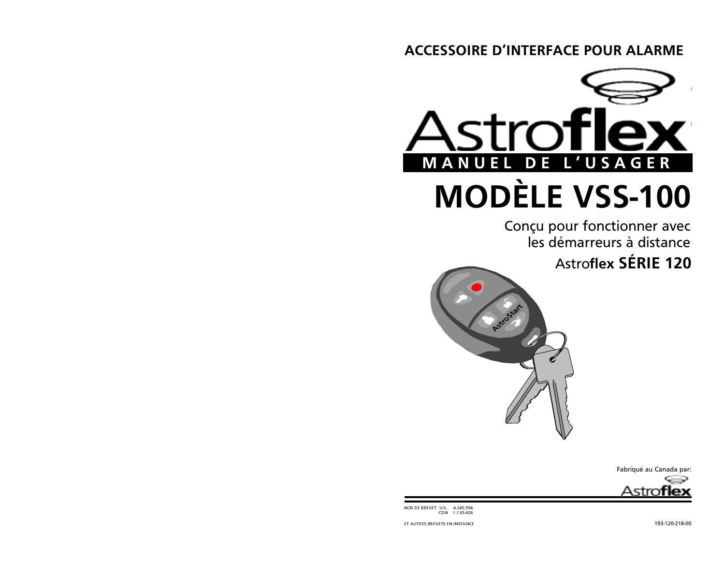# **ACCESSOIRE D'INTERFACE POUR ALARME**



Conçu pour fonctionner avec les démarreurs à distance **Astroflex SÉRIE 120** 







NOS DE BREVET U.S. 4.345.554

ET AUTRES BREVETS EN INSTANCE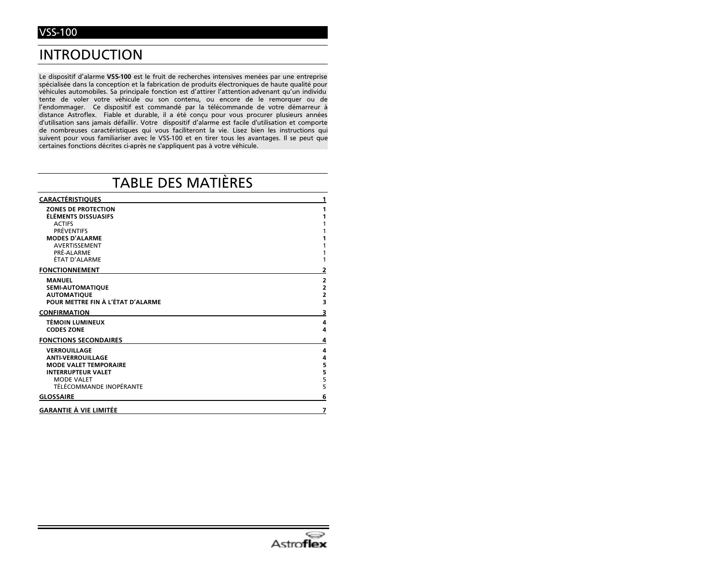# **INTRODUCTION**

Le dispositif d'alarme VSS-100 est le fruit de recherches intensives menées par une entreprise spécialisée dans la conception et la fabrication de produits électroniques de haute qualité pour véhicules automobiles. Sa principale fonction est d'attirer l'attention advenant qu'un individu tente de voler votre véhicule ou son contenu, ou encore de le remorquer ou de l'endommager. Ce dispositif est commandé par la télécommande de votre démarreur à distance Astroflex. Fiable et durable, il a été conçu pour vous procurer plusieurs années d'utilisation sans jamais défaillir. Votre dispositif d'alarme est facile d'utilisation et comporte de nombreuses caractéristiques qui vous faciliteront la vie. Lisez bien les instructions qui suivent pour vous familiariser avec le VSS-100 et en tirer tous les avantages. Il se peut que certaines fonctions décrites ci-après ne s'appliquent pas à votre véhicule.

# **TABLE DES MATIÈRES**

| <b>CARACTÉRISTIQUES</b>                                                                                                                                          | 1                                 |
|------------------------------------------------------------------------------------------------------------------------------------------------------------------|-----------------------------------|
| <b>ZONES DE PROTECTION</b><br>ÉLÉMENTS DISSUASIFS<br><b>ACTIFS</b><br><b>PRÉVENTIFS</b><br><b>MODES D'ALARME</b><br>AVERTISSEMENT<br>PRÉ-ALARME<br>ÉTAT D'ALARME | 1<br>1<br>1                       |
| <b>FONCTIONNEMENT</b>                                                                                                                                            | 2                                 |
| <b>MANUEL</b><br><b>SEMI-AUTOMATIQUE</b><br><b>AUTOMATIQUE</b><br>POUR METTRE FIN À L'ÉTAT D'ALARME                                                              | 2223                              |
| <b>CONFIRMATION</b>                                                                                                                                              | з                                 |
| <b>TÉMOIN LUMINEUX</b><br><b>CODES ZONE</b>                                                                                                                      | 4<br>4                            |
| <b>FONCTIONS SECONDAIRES</b>                                                                                                                                     | 4                                 |
| <b>VERROUILLAGE</b><br><b>ANTI-VERROUILLAGE</b><br><b>MODE VALET TEMPORAIRE</b><br><b>INTERRUPTEUR VALET</b><br><b>MODE VALET</b><br>TÉLÉCOMMANDE INOPÉRANTE     | 4<br>4<br>5<br>$\frac{5}{5}$<br>5 |
| <b>GLOSSAIRE</b>                                                                                                                                                 | 6                                 |
| <b>GARANTIE À VIE LIMITÉE</b>                                                                                                                                    | 7                                 |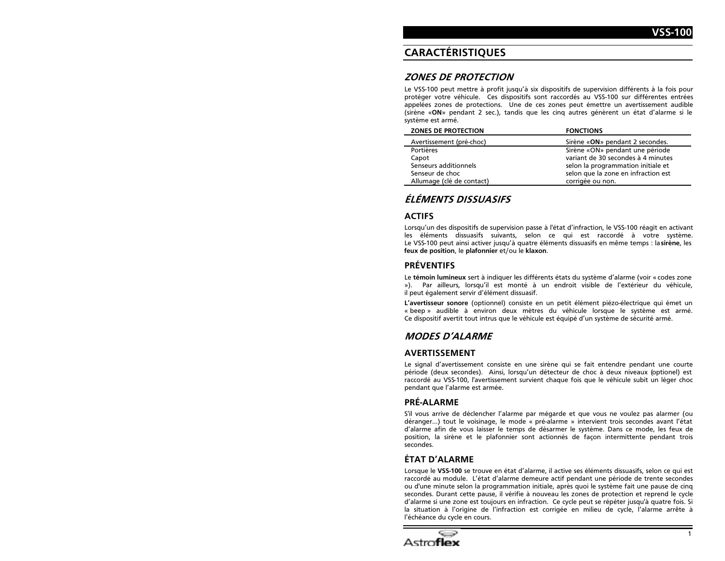# **CARACTÉRISTIOUES**

#### **ZONES DE PROTECTION**

Le VSS-100 peut mettre à profit jusqu'à six dispositifs de supervision différents à la fois pour protéger votre véhicule. Ces dispositifs sont raccordés au VSS-100 sur différentes entrées appelées zones de protections. Une de ces zones peut émettre un avertissement audible (sirène «ON» pendant 2 sec.), tandis que les cinq autres génèrent un état d'alarme si le système est armé.

| <b>ZONES DE PROTECTION</b> | <b>FONCTIONS</b>                    |
|----------------------------|-------------------------------------|
| Avertissement (pré-choc)   | Sirène «ON» pendant 2 secondes.     |
| Portières                  | Sirène «ON» pendant une période     |
| Capot                      | variant de 30 secondes à 4 minutes  |
| Senseurs additionnels      | selon la programmation initiale et  |
| Senseur de choc            | selon que la zone en infraction est |
| Allumage (clé de contact)  | corrigée ou non.                    |

### ÉLÉMENTS DISSUASIFS

#### **ACTIFS**

Lorsqu'un des dispositifs de supervision passe à l'état d'infraction, le VSS-100 réagit en activant les éléments dissuasifs suivants, selon ce qui est raccordé à votre système. Le VSS-100 peut ainsi activer jusqu'à quatre éléments dissuasifs en même temps : la sirène, les feux de position, le plafonnier et/ou le klaxon.

#### **PRÉVENTIFS**

Le témoin lumineux sert à indiquer les différents états du système d'alarme (voir « codes zone Par ailleurs, lorsqu'il est monté à un endroit visible de l'extérieur du véhicule, »). il peut également servir d'élément dissuasif.

L'avertisseur sonore (optionnel) consiste en un petit élément piézo-électrique qui émet un « beep » audible à environ deux mètres du véhicule lorsque le système est armé. Ce dispositif avertit tout intrus que le véhicule est équipé d'un système de sécurité armé.

### **MODES D'ALARME**

#### **AVERTISSEMENT**

Le signal d'avertissement consiste en une sirène qui se fait entendre pendant une courte période (deux secondes). Ainsi, lorsqu'un détecteur de choc à deux niveaux (optionel) est raccordé au VSS-100, l'avertissement survient chaque fois que le véhicule subit un léger choc pendant que l'alarme est armée.

#### **PRÉ-ALARME**

S'il vous arrive de déclencher l'alarme par mégarde et que vous ne voulez pas alarmer (ou déranger...) tout le voisinage, le mode « pré-alarme » intervient trois secondes avant l'état d'alarme afin de vous laisser le temps de désarmer le système. Dans ce mode, les feux de position, la sirène et le plafonnier sont actionnés de façon intermittente pendant trois secondes.

#### **ÉTAT D'ALARME**

Lorsque le VSS-100 se trouve en état d'alarme, il active ses éléments dissuasifs, selon ce qui est raccordé au module. L'état d'alarme demeure actif pendant une période de trente secondes ou d'une minute selon la programmation initiale, après quoi le système fait une pause de cinq secondes. Durant cette pause, il vérifie à nouveau les zones de protection et reprend le cycle d'alarme si une zone est toujours en infraction. Ce cycle peut se répéter jusqu'à quatre fois. Si la situation à l'origine de l'infraction est corrigée en milieu de cycle, l'alarme arrête à l'échéance du cycle en cours.

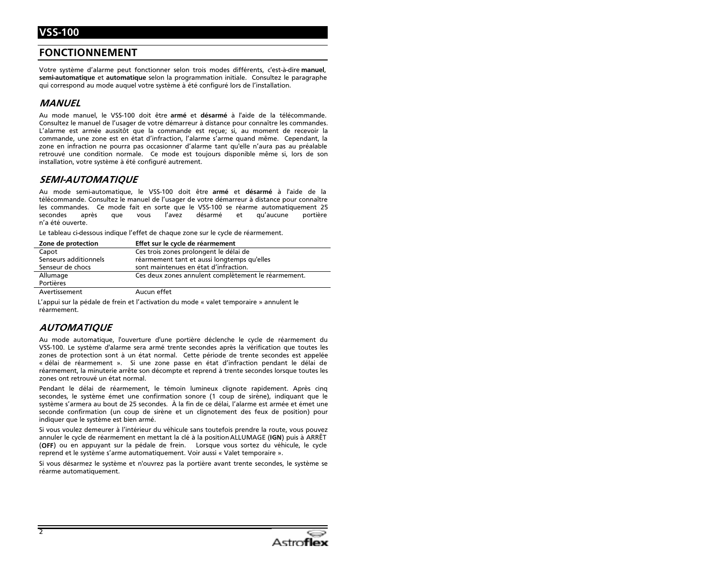#### **FONCTIONNEMENT**

Votre système d'alarme peut fonctionner selon trois modes différents, c'est-à-dire manuel, semi-automatique et automatique selon la programmation initiale. Consultez le paragraphe qui correspond au mode auquel votre système à été configuré lors de l'installation.

#### **MANUEL**

Au mode manuel, le VSS-100 doit être armé et désarmé à l'aide de la télécommande. Consultez le manuel de l'usager de votre démarreur à distance pour connaître les commandes. L'alarme est armée aussitôt que la commande est reçue; si, au moment de recevoir la commande, une zone est en état d'infraction, l'alarme s'arme quand même. Cependant, la zone en infraction ne pourra pas occasionner d'alarme tant qu'elle n'aura pas au préalable retrouvé une condition normale. Ce mode est toujours disponible même si, lors de son installation, votre système à été configuré autrement.

#### **SEMI-AUTOMATIQUE**

Au mode semi-automatique, le VSS-100 doit être armé et désarmé à l'aide de la télécommande. Consultez le manuel de l'usager de votre démarreur à distance pour connaître les commandes. Ce mode fait en sorte que le VSS-100 se réarme automatiquement 25 secondes après que vous l'avez désarmé  $et$ qu'aucune portière n'a été ouverte.

Le tableau ci-dessous indique l'effet de chaque zone sur le cycle de réarmement.

| Zone de protection    | Effet sur le cycle de réarmement                    |
|-----------------------|-----------------------------------------------------|
| Capot                 | Ces trois zones prolongent le délai de              |
| Senseurs additionnels | réarmement tant et aussi longtemps qu'elles         |
| Senseur de chocs      | sont maintenues en état d'infraction.               |
| Allumage              | Ces deux zones annulent complètement le réarmement. |
| Portières             |                                                     |
| Avertissement         | Aucun effet                                         |

L'appui sur la pédale de frein et l'activation du mode « valet temporaire » annulent le réarmement.

#### **AUTOMATIOUE**

Au mode automatique, l'ouverture d'une portière déclenche le cycle de réarmement du VSS-100. Le système d'alarme sera armé trente secondes après la vérification que toutes les zones de protection sont à un état normal. Cette période de trente secondes est appelée « délai de réarmement ». Si une zone passe en état d'infraction pendant le délai de réarmement, la minuterie arrête son décompte et reprend à trente secondes lorsque toutes les zones ont retrouvé un état normal.

Pendant le délai de réarmement, le témoin lumineux clignote rapidement. Après cinq secondes, le système émet une confirmation sonore (1 coup de sirène), indiquant que le système s'armera au bout de 25 secondes. À la fin de ce délai, l'alarme est armée et émet une seconde confirmation (un coup de sirène et un clignotement des feux de position) pour indiquer que le système est bien armé.

Si vous voulez demeurer à l'intérieur du véhicule sans toutefois prendre la route, vous pouvez annuler le cycle de réarmement en mettant la clé à la position ALLUMAGE (IGN) puis à ARRÊT (OFF) ou en appuyant sur la pédale de frein. Lorsque vous sortez du véhicule, le cycle reprend et le système s'arme automatiquement. Voir aussi « Valet temporaire ».

Si vous désarmez le système et n'ouvrez pas la portière avant trente secondes, le système se réarme automatiquement.

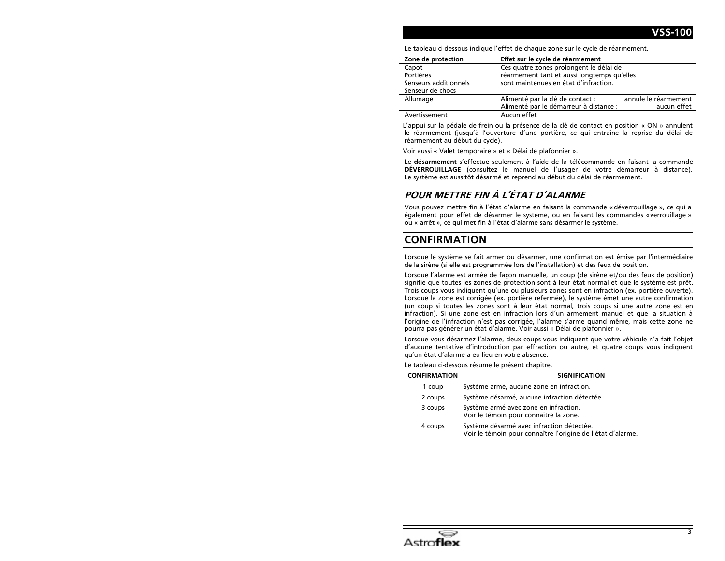Le tableau ci-dessous indique l'effet de chaque zone sur le cycle de réarmement.

| Zone de protection    | Effet sur le cycle de réarmement            |                      |
|-----------------------|---------------------------------------------|----------------------|
| Capot                 | Ces quatre zones prolongent le délai de     |                      |
| Portières             | réarmement tant et aussi longtemps qu'elles |                      |
| Senseurs additionnels | sont maintenues en état d'infraction.       |                      |
| Senseur de chocs      |                                             |                      |
| Allumage              | Alimenté par la clé de contact :            | annule le réarmement |
|                       | Alimenté par le démarreur à distance :      | aucun effet          |
| Avertissement         | Aucun effet                                 |                      |

L'appui sur la pédale de frein ou la présence de la clé de contact en position « ON » annulent le réarmement (jusqu'à l'ouverture d'une portière, ce qui entraîne la reprise du délai de réarmement au début du cycle).

Voir aussi « Valet temporaire » et « Délai de plafonnier ».

Le désarmement s'effectue seulement à l'aide de la télécommande en faisant la commande DÉVERROUILLAGE (consultez le manuel de l'usager de votre démarreur à distance). Le système est aussitôt désarmé et reprend au début du délai de réarmement.

### POUR METTRE FIN À L'ÉTAT D'ALARME

Vous pouvez mettre fin à l'état d'alarme en faisant la commande « déverrouillage », ce qui a également pour effet de désarmer le système, ou en faisant les commandes «verrouillage » ou « arrêt », ce qui met fin à l'état d'alarme sans désarmer le système.

#### **CONFIRMATION**

Lorsque le système se fait armer ou désarmer, une confirmation est émise par l'intermédiaire de la sirène (si elle est programmée lors de l'installation) et des feux de position.

Lorsque l'alarme est armée de façon manuelle, un coup (de sirène et/ou des feux de position) signifie que toutes les zones de protection sont à leur état normal et que le système est prêt. Trois coups vous indiquent qu'une ou plusieurs zones sont en infraction (ex. portière ouverte). Lorsque la zone est corrigée (ex. portière refermée), le système émet une autre confirmation (un coup si toutes les zones sont à leur état normal, trois coups si une autre zone est en infraction). Si une zone est en infraction lors d'un armement manuel et que la situation à l'origine de l'infraction n'est pas corrigée, l'alarme s'arme quand même, mais cette zone ne pourra pas générer un état d'alarme. Voir aussi « Délai de plafonnier ».

Lorsque vous désarmez l'alarme, deux coups vous indiquent que votre véhicule n'a fait l'objet d'aucune tentative d'introduction par effraction ou autre, et quatre coups vous indiquent qu'un état d'alarme a eu lieu en votre absence.

Le tableau ci-dessous résume le présent chapitre.

| <b>CONFIRMATION</b> | <b>SIGNIFICATION</b>                                                                                     |
|---------------------|----------------------------------------------------------------------------------------------------------|
| 1 coup              | Système armé, aucune zone en infraction.                                                                 |
| 2 coups             | Système désarmé, aucune infraction détectée.                                                             |
| 3 coups             | Système armé avec zone en infraction.<br>Voir le témoin pour connaître la zone.                          |
| 4 coups             | Système désarmé avec infraction détectée.<br>Voir le témoin pour connaître l'origine de l'état d'alarme. |

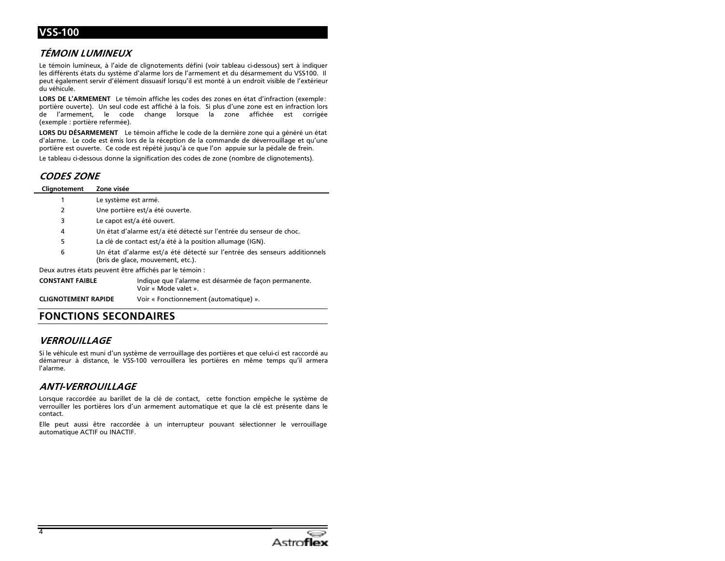# **VSS-100**

### TÉMOIN LUMINEUX

Le témoin lumineux, à l'aide de clignotements défini (voir tableau ci-dessous) sert à indiquer les différents états du système d'alarme lors de l'armement et du désarmement du VSS100. Il peut également servir d'élément dissuasif lorsqu'il est monté à un endroit visible de l'extérieur du véhicule

LORS DE L'ARMEMENT Le témoin affiche les codes des zones en état d'infraction (exemple: portière ouverte). Un seul code est affiché à la fois. Si plus d'une zone est en infraction lors l'armement, le code change lorsque la de zone affichée est corrigée (exemple : portière refermée).

LORS DU DÉSARMEMENT Le témoin affiche le code de la dernière zone qui a généré un état d'alarme. Le code est émis lors de la réception de la commande de déverrouillage et qu'une portière est ouverte. Ce code est répété jusqu'à ce que l'on appuie sur la pédale de frein.

Le tableau ci-dessous donne la signification des codes de zone (nombre de clignotements).

#### **CODES ZONE**

| Clignotement                                            | Zone visée                                                                                                     |  |
|---------------------------------------------------------|----------------------------------------------------------------------------------------------------------------|--|
|                                                         | Le système est armé.                                                                                           |  |
| 2                                                       | Une portière est/a été ouverte.                                                                                |  |
| 3                                                       | Le capot est/a été ouvert.                                                                                     |  |
| 4                                                       | Un état d'alarme est/a été détecté sur l'entrée du senseur de choc.                                            |  |
| 5                                                       | La clé de contact est/a été à la position allumage (IGN).                                                      |  |
| 6                                                       | Un état d'alarme est/a été détecté sur l'entrée des senseurs additionnels<br>(bris de glace, mouvement, etc.). |  |
| Deux autres états peuvent être affichés par le témoin : |                                                                                                                |  |
| <b>CONSTANT FAIBLE</b>                                  | Indique que l'alarme est désarmée de façon permanente.<br>Voir « Mode valet »                                  |  |

**CLIGNOTEMENT RAPIDE** 

Voir « Fonctionnement (automatique) ».

### **FONCTIONS SECONDAIRES**

#### **VERROUILLAGE**

Si le véhicule est muni d'un système de verrouillage des portières et que celui-ci est raccordé au démarreur à distance, le VSS-100 verrouillera les portières en même temps qu'il armera l'alarme.

#### **ANTI-VERROUILLAGE**

Lorsque raccordée au barillet de la clé de contact, cette fonction empêche le système de verrouiller les portières lors d'un armement automatique et que la clé est présente dans le contact.

Elle peut aussi être raccordée à un interrupteur pouvant sélectionner le verrouillage automatique ACTIF ou INACTIF.

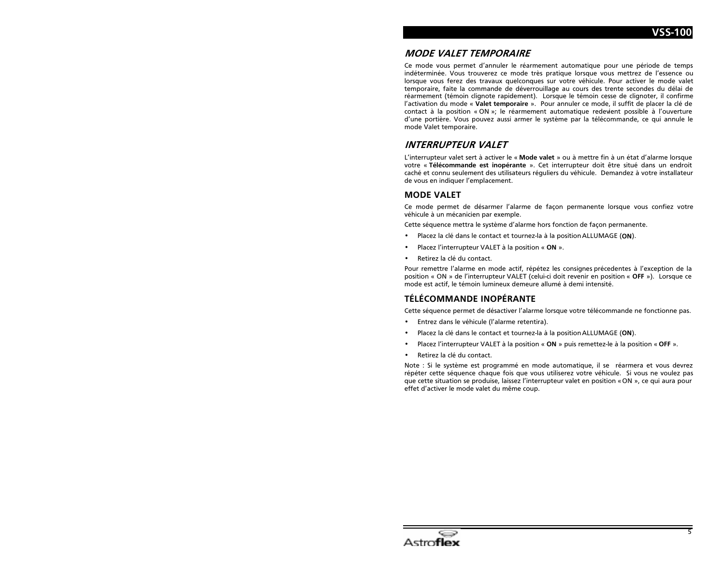### **MODE VALET TEMPORAIRE**

Ce mode vous permet d'annuler le réarmement automatique pour une période de temps indéterminée. Vous trouverez ce mode très pratique lorsque vous mettrez de l'essence ou lorsque vous ferez des travaux quelconques sur votre véhicule. Pour activer le mode valet temporaire, faite la commande de déverrouillage au cours des trente secondes du délai de réarmement (témoin clignote rapidement). Lorsque le témoin cesse de clignoter, il confirme l'activation du mode « Valet temporaire ». Pour annuler ce mode, il suffit de placer la clé de contact à la position « ON »; le réarmement automatique redevient possible à l'ouverture d'une portière. Vous pouvez aussi armer le système par la télécommande, ce qui annule le mode Valet temporaire.

### **INTERRUPTEUR VALET**

L'interrupteur valet sert à activer le « Mode valet » ou à mettre fin à un état d'alarme lorsque votre « Télécommande est inopérante ». Cet interrupteur doit être situé dans un endroit caché et connu seulement des utilisateurs réguliers du véhicule. Demandez à votre installateur de vous en indiquer l'emplacement.

#### **MODE VALET**

Ce mode permet de désarmer l'alarme de façon permanente lorsque vous confiez votre véhicule à un mécanicien par exemple.

Cette séquence mettra le système d'alarme hors fonction de façon permanente.

- Placez la clé dans le contact et tournez-la à la position ALLUMAGE (ON).
- Placez l'interrupteur VALET à la position « ON ».
- Retirez la clé du contact.

Pour remettre l'alarme en mode actif, répétez les consignes précedentes à l'exception de la position « ON » de l'interrupteur VALET (celui-ci doit revenir en position « OFF »). Lorsque ce mode est actif, le témoin lumineux demeure allumé à demi intensité.

#### **TELECOMMANDE INOPERANTE**

Cette séquence permet de désactiver l'alarme lorsque votre télécommande ne fonctionne pas.

- Entrez dans le véhicule (l'alarme retentira).
- Placez la clé dans le contact et tournez-la à la position ALLUMAGE (ON).
- Placez l'interrupteur VALET à la position « ON » puis remettez-le à la position « OFF ».
- Retirez la clé du contact.

Note : Si le système est programmé en mode automatique, il se réarmera et vous devrez répéter cette séquence chaque fois que vous utiliserez votre véhicule. Si vous ne voulez pas que cette situation se produise, laissez l'interrupteur valet en position « ON », ce qui aura pour effet d'activer le mode valet du même coup.

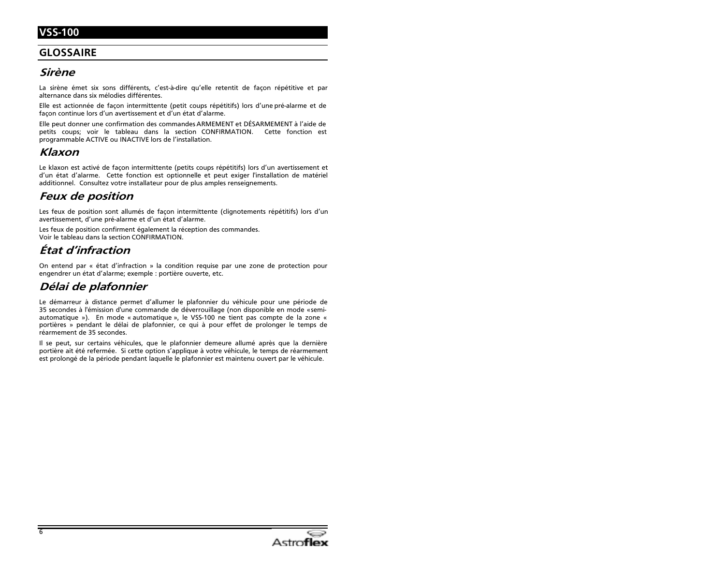# VSS-100

### **GLOSSAIRE**

## Sirène

La sirène émet six sons différents, c'est-à-dire qu'elle retentit de façon répétitive et par alternance dans six mélodies différentes.

Elle est actionnée de façon intermittente (petit coups répétitifs) lors d'une pré-alarme et de façon continue lors d'un avertissement et d'un état d'alarme.

Elle peut donner une confirmation des commandes ARMEMENT et DÉSARMEMENT à l'aide de petits coups; voir le tableau dans la section CONFIRMATION. Cette fonction est programmable ACTIVE ou INACTIVE lors de l'installation.

### Klaxon

Le klaxon est activé de facon intermittente (petits coups répétitifs) lors d'un avertissement et d'un état d'alarme. Cette fonction est optionnelle et peut exiger l'installation de matériel additionnel. Consultez votre installateur pour de plus amples renseignements.

### **Feux de position**

Les feux de position sont allumés de facon intermittente (clignotements répétitifs) lors d'un avertissement, d'une pré-alarme et d'un état d'alarme.

Les feux de position confirment également la réception des commandes. Voir le tableau dans la section CONFIRMATION.

# État d'infraction

On entend par « état d'infraction » la condition requise par une zone de protection pour engendrer un état d'alarme; exemple : portière ouverte, etc.

## Délai de plafonnier

Le démarreur à distance permet d'allumer le plafonnier du véhicule pour une période de 35 secondes à l'émission d'une commande de déverrouillage (non disponible en mode «semiautomatique »). En mode « automatique », le VSS-100 ne tient pas compte de la zone « portières » pendant le délai de plafonnier, ce qui à pour effet de prolonger le temps de réarmement de 35 secondes.

Il se peut, sur certains véhicules, que le plafonnier demeure allumé après que la dernière portière ait été refermée. Si cette option s'applique à votre véhicule, le temps de réarmement est prolongé de la période pendant laquelle le plafonnier est maintenu ouvert par le véhicule.

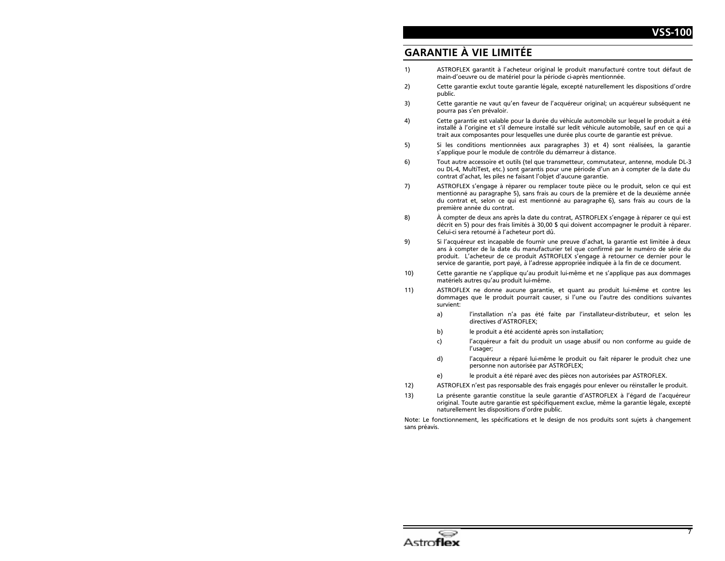# **GARANTIE À VIE LIMITÉE**

- ASTROFLEX garantit à l'acheteur original le produit manufacturé contre tout défaut de  $1)$ main-d'oeuvre ou de matériel pour la période ci-après mentionnée.
- Cette garantie exclut toute garantie légale, excepté naturellement les dispositions d'ordre  $2)$ public.
- Cette garantie ne vaut qu'en faveur de l'acquéreur original; un acquéreur subséquent ne 3) pourra pas s'en prévaloir.
- 4) Cette garantie est valable pour la durée du véhicule automobile sur lequel le produit a été installé à l'origine et s'il demeure installé sur ledit véhicule automobile, sauf en ce qui a trait aux composantes pour lesquelles une durée plus courte de garantie est prévue.
- Si les conditions mentionnées aux paragraphes 3) et 4) sont réalisées, la garantie 5) s'applique pour le module de contrôle du démarreur à distance.
- Tout autre accessoire et outils (tel que transmetteur, commutateur, antenne, module DL-3  $6)$ ou DL-4, MultiTest, etc.) sont garantis pour une période d'un an à compter de la date du contrat d'achat, les piles ne faisant l'objet d'aucune garantie.
- $7)$ ASTROFLEX s'engage à réparer ou remplacer toute pièce ou le produit, selon ce qui est mentionné au paragraphe 5), sans frais au cours de la première et de la deuxième année du contrat et, selon ce qui est mentionné au paragraphe 6), sans frais au cours de la première année du contrat.
- À compter de deux ans après la date du contrat, ASTROFLEX s'engage à réparer ce qui est 8) décrit en 5) pour des frais limités à 30,00 \$ qui doivent accompagner le produit à réparer. Celui-ci sera retourné à l'acheteur port dû.
- Si l'acquéreur est incapable de fournir une preuve d'achat, la garantie est limitée à deux 9) ans à compter de la date du manufacturier tel que confirmé par le numéro de série du produit. L'acheteur de ce produit ASTROFLEX s'engage à retourner ce dernier pour le service de garantie, port payé, à l'adresse appropriée indiquée à la fin de ce document.
- $10)$ Cette garantie ne s'applique qu'au produit lui-même et ne s'applique pas aux dommages matériels autres qu'au produit lui-même.
- 11) ASTROFLEX ne donne aucune garantie, et quant au produit lui-même et contre les dommages que le produit pourrait causer, si l'une ou l'autre des conditions suivantes survient:
	- a) l'installation n'a pas été faite par l'installateur-distributeur, et selon les directives d'ASTROFLEX:
	- $b)$ le produit a été accidenté après son installation;
	- l'acquéreur a fait du produit un usage abusif ou non conforme au quide de c) l'usager;
	- d) l'acquéreur a réparé lui-même le produit ou fait réparer le produit chez une personne non autorisée par ASTROFLEX;
	- le produit a été réparé avec des pièces non autorisées par ASTROFLEX.  $e)$
- $12)$ ASTROFLEX n'est pas responsable des frais engagés pour enlever ou réinstaller le produit.
- La présente garantie constitue la seule garantie d'ASTROFLEX à l'égard de l'acquéreur  $13)$ original. Toute autre garantie est spécifiquement exclue, même la garantie légale, excepté naturellement les dispositions d'ordre public.

Note: Le fonctionnement, les spécifications et le design de nos produits sont sujets à changement sans préavis.

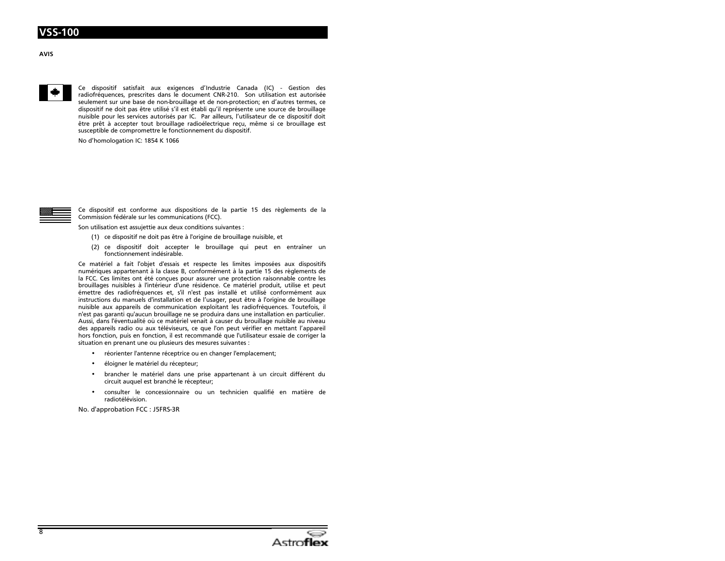



Ce dispositif satisfait aux exigences d'Industrie Canada (IC) - Gestion des radiofréquences, prescrites dans le document CNR-210. Son utilisation est autorisée seulement sur une base de non-brouillage et de non-protection; en d'autres termes, ce dispositif ne doit pas être utilisé s'il est établi qu'il représente une source de brouillage nuisible pour les services autorisés par IC. Par ailleurs, l'utilisateur de ce dispositif doit être prêt à accepter tout brouillage radioélectrique reçu, même si ce brouillage est susceptible de compromettre le fonctionnement du dispositif.

No d'homologation IC: 1854 K 1066



Ce dispositif est conforme aux dispositions de la partie 15 des règlements de la Commission fédérale sur les communications (FCC).

Son utilisation est assujettie aux deux conditions suivantes :

- (1) ce dispositif ne doit pas être à l'origine de brouillage nuisible, et
- (2) ce dispositif doit accepter le brouillage qui peut en entraîner un fonctionnement indésirable.

Ce matériel a fait l'objet d'essais et respecte les limites imposées aux dispositifs numériques appartenant à la classe B, conformément à la partie 15 des règlements de la FCC. Ces limites ont été concues pour assurer une protection raisonnable contre les brouillages nuisibles à l'intérieur d'une résidence. Ce matériel produit, utilise et peut émettre des radiofréquences et, s'il n'est pas installé et utilisé conformément aux instructions du manuels d'installation et de l'usager, peut être à l'origine de brouillage nuisible aux appareils de communication exploitant les radiofréquences. Toutefois, il n'est pas garanti qu'aucun brouillage ne se produira dans une installation en particulier. Aussi, dans l'éventualité où ce matériel venait à causer du brouillage nuisible au niveau des appareils radio ou aux téléviseurs, ce que l'on peut vérifier en mettant l'appareil hors fonction, puis en fonction, il est recommandé que l'utilisateur essaie de corriger la situation en prenant une ou plusieurs des mesures suivantes :

- réorienter l'antenne réceptrice ou en changer l'emplacement;
- éloigner le matériel du récepteur;  $\bullet$
- brancher le matériel dans une prise appartenant à un circuit différent du circuit auquel est branché le récepteur;
- consulter le concessionnaire ou un technicien qualifié en matière de radiotélévision.

No. d'approbation FCC : J5FRS-3R